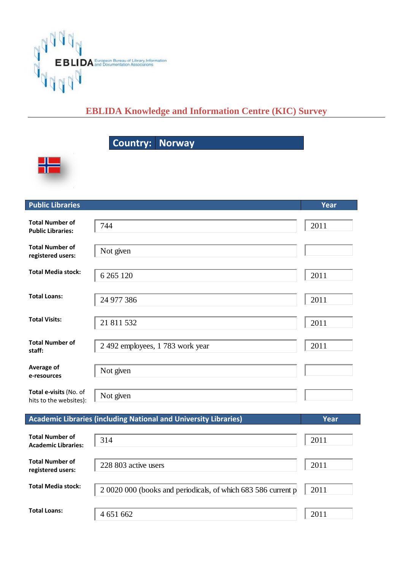

## **EBLIDA Knowledge and Information Centre (KIC) Survey**

Country: Norway



| <b>Public Libraries</b>                              |                                                                         | Year |
|------------------------------------------------------|-------------------------------------------------------------------------|------|
| <b>Total Number of</b><br><b>Public Libraries:</b>   | 744                                                                     | 2011 |
| <b>Total Number of</b><br>registered users:          | Not given                                                               |      |
| <b>Total Media stock:</b>                            | 6 265 120                                                               | 2011 |
| <b>Total Loans:</b>                                  | 24 977 386                                                              | 2011 |
| <b>Total Visits:</b>                                 | 21 811 532                                                              | 2011 |
| <b>Total Number of</b><br>staff:                     | 2 492 employees, 1 783 work year                                        | 2011 |
| Average of<br>e-resources                            | Not given                                                               |      |
| Total e-visits (No. of<br>hits to the websites):     | Not given                                                               |      |
|                                                      | <b>Academic Libraries (including National and University Libraries)</b> | Year |
| <b>Total Number of</b><br><b>Academic Libraries:</b> | 314                                                                     | 2011 |
| <b>Total Number of</b><br>registered users:          | 228 803 active users                                                    | 2011 |
| <b>Total Media stock:</b>                            | 2 0020 000 (books and periodicals, of which 683 586 current p           | 2011 |
| <b>Total Loans:</b>                                  | 4 651 662                                                               | 2011 |